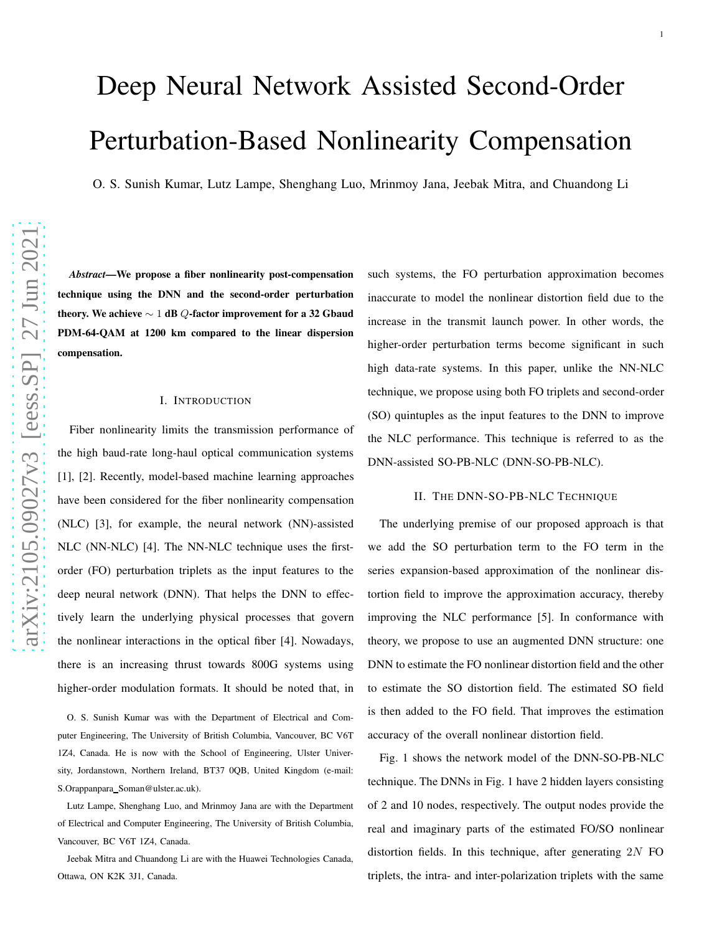# Deep Neural Network Assisted Second-Order Perturbation-Based Nonlinearity Compensation

O. S. Sunish Kumar, Lutz Lampe, Shenghang Luo, Mrinmoy Jana, Jeebak Mitra, and Chuandong Li

*Abstract*—We propose a fiber nonlinearity post-compensation technique using the DNN and the second-order perturbation theory. We achieve  $\sim 1$  dB  $Q$ -factor improvement for a 32 Gbaud PDM-64-QAM at 1200 km compared to the linear dispersion compensation.

#### I. INTRODUCTION

Fiber nonlinearity limits the transmission performance of the high baud-rate long-haul optical communication system s [1], [2]. Recently, model-based machine learning approaches have been considered for the fiber nonlinearity compensatio n (NLC) [3], for example, the neural network (NN)-assisted NLC (NN-NLC) [4]. The NN-NLC technique uses the firstorder (FO) perturbation triplets as the input features to the deep neural network (DNN). That helps the DNN to effectively learn the underlying physical processes that govern the nonlinear interactions in the optical fiber [4]. Nowadays, there is an increasing thrust towards 800G systems using higher-order modulation formats. It should be noted that, i n

O. S. Sunish Kumar was with the Department of Electrical and Computer Engineering, The University of British Columbia, Vancouver, BC V6T 1Z4, Canada. He is now with the School of Engineering, Ulster University, Jordanstown, Northern Ireland, BT37 0QB, United Kingdom (e-mail: S.Orappanpara Soman@ulster.ac.uk).

Lutz Lampe, Shenghang Luo, and Mrinmoy Jana are with the Department of Electrical and Computer Engineering, The University of British Columbia, Vancouver, BC V6T 1Z4, Canada.

Jeebak Mitra and Chuandong Li are with the Huawei Technologies Canada, Ottawa, ON K2K 3J1, Canada.

such systems, the FO perturbation approximation becomes inaccurate to model the nonlinear distortion field due to the increase in the transmit launch power. In other words, the higher-order perturbation terms become significant in such high data-rate systems. In this paper, unlike the NN-NLC technique, we propose using both FO triplets and second-order (SO) quintuples as the input features to the DNN to improve the NLC performance. This technique is referred to as the DNN-assisted SO-PB-NLC (DNN-SO-PB-NLC).

### II. THE DNN-SO-PB-NLC TECHNIQUE

The underlying premise of our proposed approach is that we add the SO perturbation term to the FO term in the series expansion-based approximation of the nonlinear distortion field to improve the approximation accuracy, thereb y improving the NLC performance [5]. In conformance with theory, we propose to use an augmented DNN structure: one DNN to estimate the FO nonlinear distortion field and the othe r to estimate the SO distortion field. The estimated SO field is then added to the FO field. That improves the estimation accuracy of the overall nonlinear distortion field.

Fig. 1 shows the network model of the DNN-SO-PB-NLC technique. The DNNs in Fig. 1 have 2 hidden layers consisting of 2 and 10 nodes, respectively. The output nodes provide the real and imaginary parts of the estimated FO/SO nonlinear distortion fields. In this technique, after generating  $2N$  FO triplets, the intra- and inter-polarization triplets with the same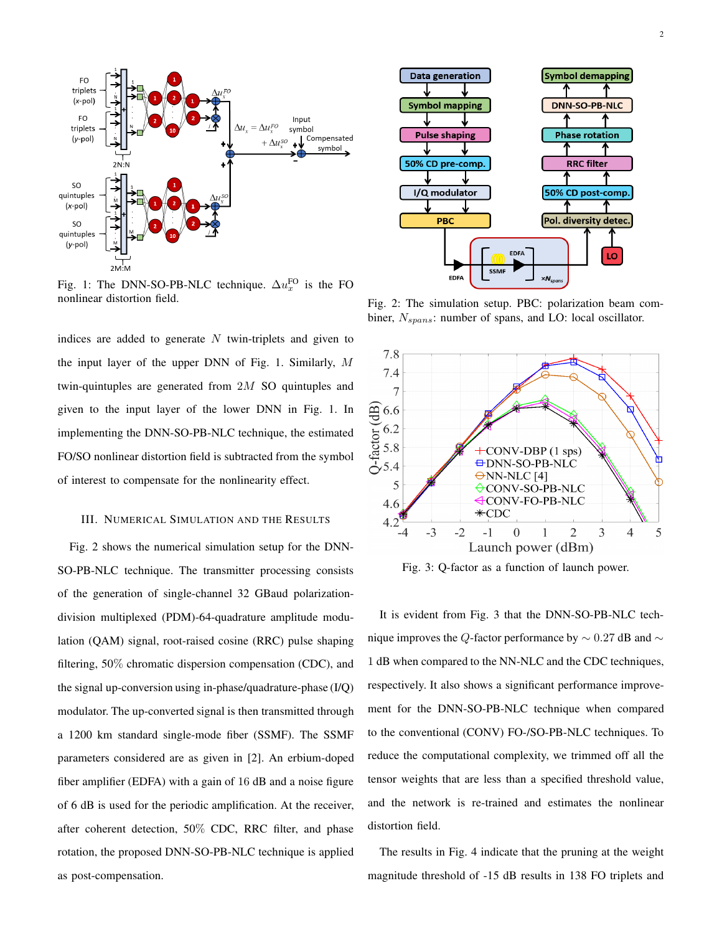

Fig. 1: The DNN-SO-PB-NLC technique.  $\Delta u_x^{\text{FO}}$  is the FO nonlinear distortion field.

indices are added to generate  $N$  twin-triplets and given to the input layer of the upper DNN of Fig. 1. Similarly, M twin-quintuples are generated from 2M SO quintuples and given to the input layer of the lower DNN in Fig. 1. In implementing the DNN-SO-PB-NLC technique, the estimated FO/SO nonlinear distortion field is subtracted from the symbol of interest to compensate for the nonlinearity effect.

#### III. NUMERICAL SIMULATION AND THE RESULTS

Fig. 2 shows the numerical simulation setup for the DNN-SO-PB-NLC technique. The transmitter processing consists of the generation of single-channel 32 GBaud polarizationdivision multiplexed (PDM)-64-quadrature amplitude modulation (QAM) signal, root-raised cosine (RRC) pulse shaping filtering, 50% chromatic dispersion compensation (CDC), and the signal up-conversion using in-phase/quadrature-phase (I/Q) modulator. The up-converted signal is then transmitted through a 1200 km standard single-mode fiber (SSMF). The SSMF parameters considered are as given in [2]. An erbium-doped fiber amplifier (EDFA) with a gain of 16 dB and a noise figure of 6 dB is used for the periodic amplification. At the receiver, after coherent detection, 50% CDC, RRC filter, and phase rotation, the proposed DNN-SO-PB-NLC technique is applied as post-compensation.



Fig. 2: The simulation setup. PBC: polarization beam combiner,  $N_{spans}$ : number of spans, and LO: local oscillator.



Fig. 3: Q-factor as a function of launch power.

It is evident from Fig. 3 that the DNN-SO-PB-NLC technique improves the Q-factor performance by  $\sim$  0.27 dB and  $\sim$ 1 dB when compared to the NN-NLC and the CDC techniques, respectively. It also shows a significant performance improvement for the DNN-SO-PB-NLC technique when compared to the conventional (CONV) FO-/SO-PB-NLC techniques. To reduce the computational complexity, we trimmed off all the tensor weights that are less than a specified threshold value, and the network is re-trained and estimates the nonlinear distortion field.

The results in Fig. 4 indicate that the pruning at the weight magnitude threshold of -15 dB results in 138 FO triplets and